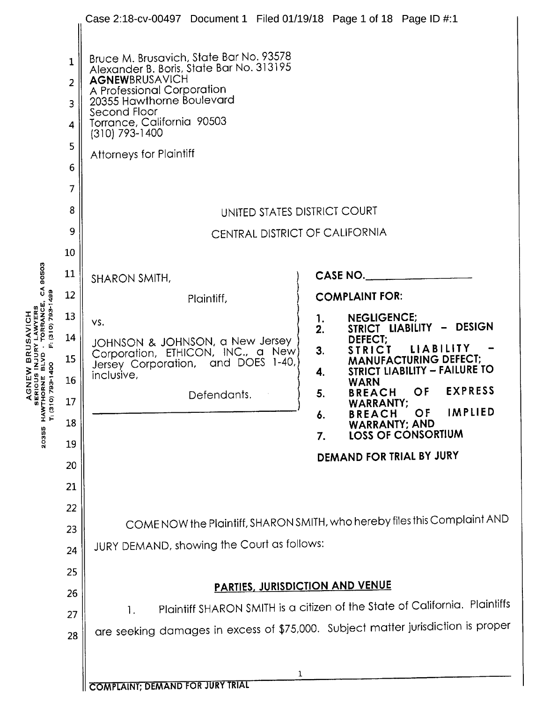|                                                                      | $\mathbf{1}$ | Case 2:18-cv-00497 Document 1 Filed 01/19/18 Page 1 of 18 Page ID #:1<br>Bruce M. Brusavich, State Bar No. 93578                                                                      |                                                                                             |  |  |  |  |
|----------------------------------------------------------------------|--------------|---------------------------------------------------------------------------------------------------------------------------------------------------------------------------------------|---------------------------------------------------------------------------------------------|--|--|--|--|
|                                                                      | 2            | Alexander B. Boris, State Bar No. 313195<br>AGNEWBRUSAVICH<br>A Professional Corporation<br>20355 Hawthorne Boulevard<br>Second Floor<br>Torrance, California 90503<br>(310) 793-1400 |                                                                                             |  |  |  |  |
|                                                                      | 3            |                                                                                                                                                                                       |                                                                                             |  |  |  |  |
|                                                                      | 4            |                                                                                                                                                                                       |                                                                                             |  |  |  |  |
|                                                                      | 5            | Attorneys for Plaintiff                                                                                                                                                               |                                                                                             |  |  |  |  |
|                                                                      | 6            |                                                                                                                                                                                       |                                                                                             |  |  |  |  |
|                                                                      | 7            |                                                                                                                                                                                       |                                                                                             |  |  |  |  |
|                                                                      | 8            | UNITED STATES DISTRICT COURT                                                                                                                                                          |                                                                                             |  |  |  |  |
|                                                                      | 9            | CENTRAL DISTRICT OF CALIFORNIA                                                                                                                                                        |                                                                                             |  |  |  |  |
| 80503                                                                | 10           |                                                                                                                                                                                       |                                                                                             |  |  |  |  |
|                                                                      | 11           | SHARON SMITH,                                                                                                                                                                         | CASE NO.                                                                                    |  |  |  |  |
| $\mathbb{S}$                                                         | 12           | Plaintiff,                                                                                                                                                                            | <b>COMPLAINT FOR:</b>                                                                       |  |  |  |  |
| F: (310) 793-1499                                                    | 13           | VS.                                                                                                                                                                                   | <b>NEGLIGENCE:</b><br>1.<br>STRICT LIABILITY - DESIGN                                       |  |  |  |  |
|                                                                      | 14           | JOHNSON & JOHNSON, a New Jersey                                                                                                                                                       | 2.<br>DEFECT;<br>LIABILITY                                                                  |  |  |  |  |
| AGNEW BRUSAVICH<br>serious injury lawyers<br>thorne blvd · torrance, | 15           | Corporation, ETHICON, INC., a New)<br>Jersey Corporation, and DOES 1-40,                                                                                                              | <b>STRICT</b><br>3.<br><b>MANUFACTURING DEFECT;</b><br><b>STRICT LIABILITY - FAILURE TO</b> |  |  |  |  |
| 10) 783-1400                                                         | 16           | inclusive,                                                                                                                                                                            | 4.<br><b>WARN</b><br><b>EXPRESS</b><br>OF                                                   |  |  |  |  |
|                                                                      | 17           | Defendants.                                                                                                                                                                           | <b>BREACH</b><br>5.<br><b>WARRANTY;</b><br>IMPLIED<br>OF                                    |  |  |  |  |
| 20355 HAWT<br>T: (31                                                 | 18           |                                                                                                                                                                                       | <b>BREACH</b><br>6.<br><b>WARRANTY; AND</b><br>LOSS OF CONSORTIUM<br>7.                     |  |  |  |  |
|                                                                      | 19           |                                                                                                                                                                                       | DEMAND FOR TRIAL BY JURY                                                                    |  |  |  |  |
|                                                                      | 20           |                                                                                                                                                                                       |                                                                                             |  |  |  |  |
|                                                                      | 21           |                                                                                                                                                                                       |                                                                                             |  |  |  |  |
|                                                                      | 22           |                                                                                                                                                                                       | COME NOW the Plaintiff, SHARON SMITH, who hereby files this Complaint AND                   |  |  |  |  |
|                                                                      | 23           | JURY DEMAND, showing the Court as follows:                                                                                                                                            |                                                                                             |  |  |  |  |
|                                                                      | 24           |                                                                                                                                                                                       |                                                                                             |  |  |  |  |
|                                                                      | 25           | <b>PARTIES, JURISDICTION AND VENUE</b>                                                                                                                                                |                                                                                             |  |  |  |  |
|                                                                      | 26           | Plaintiff SHARON SMITH is a citizen of the State of California. Plaintiffs                                                                                                            |                                                                                             |  |  |  |  |
|                                                                      | 27           | 1.<br>are seeking damages in excess of \$75,000. Subject matter jurisdiction is proper                                                                                                |                                                                                             |  |  |  |  |
|                                                                      | 28           |                                                                                                                                                                                       |                                                                                             |  |  |  |  |
|                                                                      |              | $\mathbf{1}$                                                                                                                                                                          |                                                                                             |  |  |  |  |
|                                                                      |              | <b>COMPLAINT, DEMAND FOR JURY TRIAL</b>                                                                                                                                               |                                                                                             |  |  |  |  |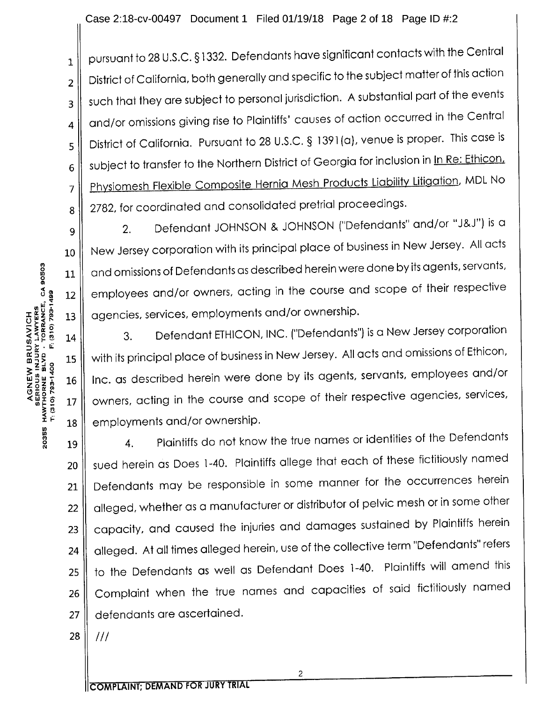Case 2:18-cv-00497 Document <sup>1</sup> Filed 01/19/18 Page 2 of 18 Page ID #:2

 $\begin{array}{l} \text{1} \parallel \text{ pursuit to 28 U.S.C.} \text{\$1332. Determinations have significant contacts with the Central axis.} \end{array}$  $_2$  | District of California, both generally and specific to the subject matter of this action  $_3$   $\parallel$  such that they are subject to personal jurisdiction. A substantial part of the events 4  $\parallel$  and/or omissions giving rise to Plaintiffs' causes of action occurred in the Central 5  $\parallel$  District of California. Pursuant to 28 U.S.C. § 1391(a), venue is proper. This case is 6 subject to transfer to the Northern District of Georgia for inclusion in In Re: Ethicon, 7 | Physiomesh Flexible Composite Hernia Mesh Products Liability Litigation, MDL No 8 2782, for coordinated and consolidated pretrial proceedings.

9 2. Defendant JOHNSON & JOHNSON ("Defendants" and/or "J&J") is a 10 || New Jersey corporation with its principal place of business in New Jersey. All acts  $11$   $\parallel$  and omissions of Defendants as described herein were done by its agents, servants,  $12$   $\parallel$  employees and/or owners, acting in the course and scope of their respective  $13$   $\parallel$  agencies, services, employments and/or ownership.

 $14$  |  $3.$  Defendant ETHICON, INC. ("Defendants") is a New Jersey corporation 15 | with its principal place of business in New Jersey. All acts and omissions of Ethicon, 16 | Inc. as described herein were done by its agents, servants, employees and/or  $17$  owners, acting in the course and scope of their respective agencies, services,  $18$  employments and/or ownership.

19 4. Plaintiffs do not know the true names or identities of the Defendants 20 || sued herein as Does 1-40. Plaintiffs allege that each of these fictitiously named 21 | Defendants may be responsible in some manner for the occurrences herein 22 | alleged, whether as a manufacturer or distributor of pelvic mesh or in some other 23 | capacity, and caused the injuries and damages sustained by Plaintiffs herein 24 | alleged. At all times alleged herein, use of the collective term "Defendants" refers 25  $\parallel$  to the Defendants as well as Defendant Does 1-40. Plaintiffs will amend this 26 Complaint when the true names and capacities of said fictitiously named 27 || defendants are ascertained.

28  $III$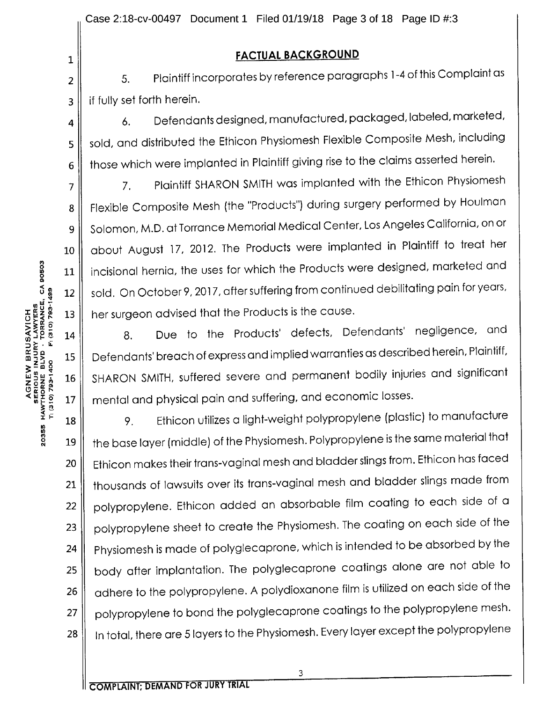# 1 || **FACTUAL BACKGROUND**

2  $\parallel$  5. Plaintiff incorporates by reference paragraphs 1-4 of this Complaint as 3 | if fully set forth herein.

4  $\parallel$  6. Defendants designed, manufactured, packaged, labeled, marketed, 5  $\parallel$  sold, and distributed the Ethicon Physiomesh Flexible Composite Mesh, including  $6 \parallel$  those which were implanted in Plaintiff giving rise to the claims asserted herein.

7 || The Plaintiff SHARON SMITH was implanted with the Ethicon Physiomesh 8 | Flexible Composite Mesh (the "Products") during surgery performed by Houlman 9 | Solomon, M.D. at Torrance Memorial Medical Center, Los Angeles California, on or 10 || about August 17, 2012. The Products were implanted in Plaintiff to treat her 11 | incisional hernia, the uses for which the Products were designed, marketed and 12 | sold. On October 9, 2017, after suffering from continued debilitating pain for years, 13 || her surgeon advised that the Products is the cause.

14 || 8. Due to the Products' defects, Defendants' negligence, and 15 | Defendants' breach of express and implied warranties as described herein, Plaintiff, 16 || SHARON SMITH, suffered severe and permanent bodily injuries and significant  $17$  mental and physical pain and suffering, and economic losses.

<sup>18</sup> 9. Ethicon utilizes <sup>a</sup> light-weight polypropylene (plastic) to manufacture <sup>2</sup> <sup>19</sup> the base layer (middle) of the Physiomesh. Polypropylene is the same material that 20 | Ethicon makes their trans-vaginal mesh and bladder slings from. Ethicon has faced 21 || thousands of lawsuits over its trans-vaginal mesh and bladder slings made from 22 || polypropylene. Ethicon added an absorbable film coating to each side of a 23 | polypropylene sheet to create the Physiomesh. The coating on each side of the 24 | Physiomesh is made of polyglecaprone, which is intended to be absorbed by the 25 | body after implantation. The polyglecaprone coatings alone are not able to 26  $\parallel$  adhere to the polypropylene. A polydioxanone film is utilized on each side of the 27 | polypropylene to bond the polyglecaprone coatings to the polypropylene mesh. 28 | In total, there are 5 layers to the Physiomesh. Every layer except the polypropylene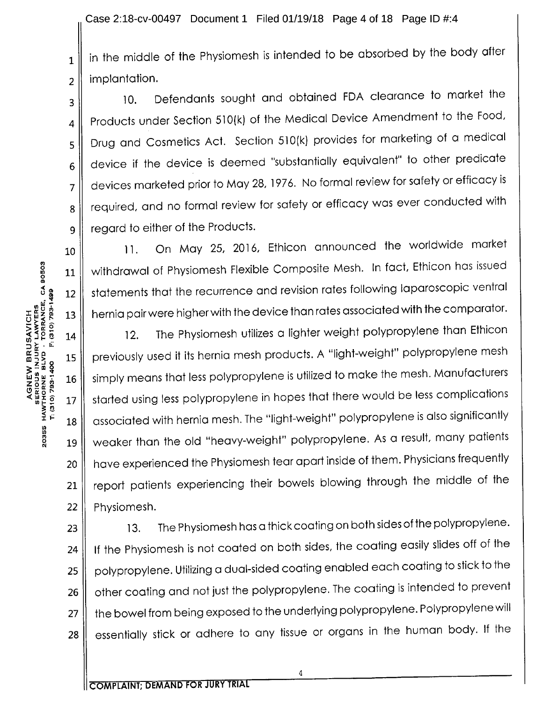$_1\,\Vert\,$  in the middle of the Physiomesh is intended to be absorbed by the body after  $2 \parallel$  implantation.

10. Defendants sought and obtained FDA clearance to market the 4  $\parallel$  Products under Section 510(k) of the Medical Device Amendment to the Food, 5 | Drug and Cosmetics Act. Section 510(k) provides for marketing of a medical  $6$  device if the device is deemed "substantially equivalent" to other predicate 7 devices marketed prior to May 28, 1976. No formal review for safety or efficacy is 8 | required, and no formal review for safety or efficacy was ever conducted with 9 || regard to either of the Products.

10 || 11. On May 25, 2016, Ethicon announced the worldwide market 11 || withdrawal of Physiomesh Flexible Composite Mesh. In fact, Ethicon has issued 12 || statements that the recurrence and revision rates following laparoscopic ventral  $13 \parallel~$  hernia pair were higher with the device than rates associated with the comparator.

 $14$  | 12. The Physiomesh utilizes a lighter weight polypropylene than Ethicon 15 | previously used it its hernia mesh products. A "light-weight" polypropylene mesh 16 | simply means that less polypropylene is utilized to make the mesh. Manufacturers 17. Started using less polypropylene in hopes that there would be less complications 18 | associated with hernia mesh. The "light-weight" polypropylene is also significantly <sup>19</sup> weaker than the old "heavy-weight" polypropylene. As <sup>a</sup> result, many patients 20 || have experienced the Physiomesh tear apart inside of them. Physicians frequently 21 | report patients experiencing their bowels blowing through the middle of the  $22$  | Physiomesh.

23  $\parallel$  13. The Physiomesh has a thick coating on both sides of the polypropylene. 24 | If the Physiomesh is not coated on both sides, the coating easily slides off of the 25 | polypropylene. Utilizing a dual-sided coating enabled each coating to stick to the 26 | other coating and not just the polypropylene. The coating is intended to prevent 27 || the bowel from being exposed to the underlying polypropylene. Polypropylene will 28 | essentially stick or adhere to any tissue or organs in the human body. If the

3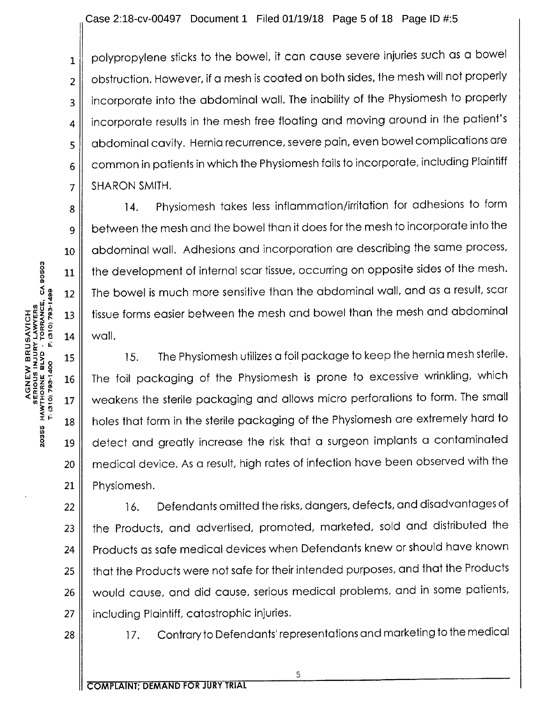Case 2:18-cv-00497 Document 1 Filed 01/19/18 Page 5 of 18 Page ID #:5

 $_1$  | polypropylene sticks to the bowel, it can cause severe injuries such as a bowel  $2 \parallel$  obstruction. However, if a mesh is coated on both sides, the mesh will not properly 3 | incorporate into the abdominal wall. The inability of the Physiomesh to properly 4 | incorporate results in the mesh free floating and moving around in the patient's 5 | abdominal cavity. Hernia recurrence, severe pain, even bowel complications are  $6 \parallel$  common in patients in which the Physiomesh fails to incorporate, including Plaintiff  $7$  SHARON SMITH.

8 || 14. Physiomesh takes less inflammation/irritation for adhesions to form <sup>9</sup> between the mesh and the bowel than it does for the mesh to incorporate into the 10 abdominal wall. Adhesions and incorporation are describing the same process, 11 || the development of internal scar tissue, occurring on opposite sides of the mesh. 12 || The bowel is much more sensitive than the abdominal wall, and as a result, scar 13 || tissue forms easier between the mesh and bowel than the mesh and abdominal

15. The Physiomesh utilizes a foil package to keep the hernia mesh sterile.<br>  $\frac{2}{36}$  15. The foil packaging of the Physiomesh is prone to excessive wrinkling, which<br>  $\frac{5}{36}$  17 weakens the sterile packaging and allo 16 | The foil packaging of the Physiomesh is prone to excessive wrinkling, which 17 || weakens the sterile packaging and allows micro perforations to form. The small  $\frac{7}{8}$  is and that form in the sterile packaging of the Physiomesh are extremely hard to<br> $\frac{8}{8}$  19 detect and greatly increase the risk that a surgeon implants a contaminated 19 || detect and greatly increase the risk that a surgeon implants a contaminated 20 || medical device. As a result, high rates of infection have been observed with the 21 || Physiomesh.

22 || 16. Defendants omitted the risks, dangers, defects, and disadvantages of 23 || the Products, and advertised, promoted, marketed, sold and distributed the 24 || Products as safe medical devices when Defendants knew or should have known 25 || that the Products were not safe for their intended purposes, and that the Products 26 || would cause, and did cause, serious medical problems, and in some patients, 27 || including Plaintiff, catastrophic injuries.

5

28 || 17. Contrary to Defendants' representations and marketing to the medical

r 0 n

0

lit <sup>2</sup>'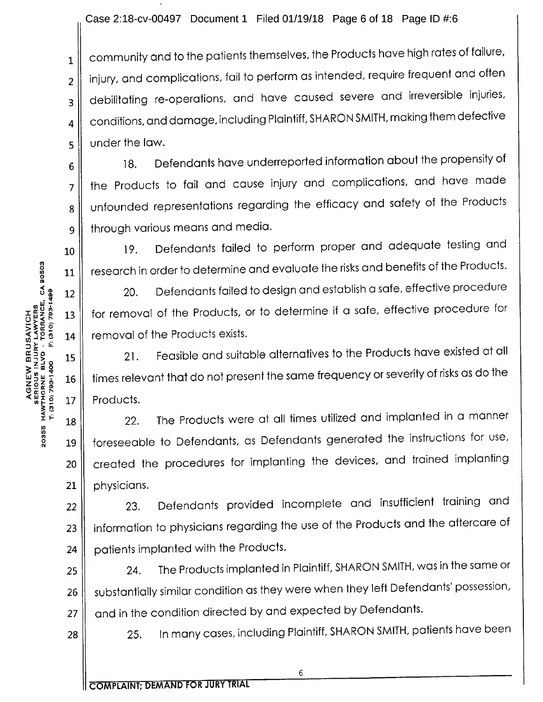### Case 2:18-cv-00497 Document 1 Filed 01/19/18 Page 6 of 18 Page ID #:6

 $_1 \parallel \,$  community and to the patients themselves, the Products have high rates of failure,  $_2$   $\parallel$  injury, and complications, fail to perform as intended, require frequent and often  $_3$   $\parallel$  debilitating re-operations, and have caused severe and irreversible injuries,  $_4 \parallel \;$  conditions, and damage, including Plaintiff, SHARON SMITH, making them defective  $\mathbf{5}$  under the law.

 $6 \parallel$  18. Defendants have underreported information about the propensity of  $7$  the Products to fail and cause injury and complications, and have made 8 | unfounded representations regarding the efficacy and safety of the Products 9 | through various means and media.

10 || 19. Defendants failed to perform proper and adequate testing and  $11$   $\parallel$  research in order to determine and evaluate the risks and benefits of the Products.

 $12$   $\parallel$  20. Defendants failed to design and establish a safe, effective procedure 13 | for removal of the Products, or to determine if a safe, effective procedure for  $14$   $\parallel$  removal of the Products exists.  $\begin{bmatrix} 1 & 0 & 0 & 0 \\ 0 & 0 & 0 & 0 \\ 0 & 0 & 0 & 0 \\ 0 & 0 & 0 & 0 \\ 0 & 0 & 0 & 0 \\ 0 & 0 & 0 & 0 \\ 0 & 0 & 0 & 0 \\ 0 & 0 & 0 & 0 \\ 0 & 0 & 0 & 0 \\ 0 & 0 & 0 & 0 \\ 0 & 0 & 0 & 0 \\ 0 & 0 & 0 & 0 \\ 0 & 0 & 0 & 0 \\ 0 & 0 & 0 & 0 \\ 0 & 0 & 0 & 0 \\ 0 & 0 & 0 & 0 \\ 0 & 0 & 0 & 0 \\ 0 & 0 & 0 &$ 

16  $\parallel~$  times relevant that do not present the same frequency or severity of risks as do the  $\mathbb{R}^{\frac{1}{\alpha}}$   $\mathbb{R}^{\frac{1}{\alpha}}_{\frac{1}{\alpha}}$   $\mathbb{R}^{\frac{1}{\alpha}}_{\frac{1}{\alpha}}$  . Products.

18 22. The Products were at all times utilized and implanted in a manner  $\begin{bmatrix} 8 & 19 \ 19 & 10 & 100 \end{bmatrix}$  foreseeable to Defendants, as Defendants generated the instructions for use, 20 created the procedures for implanting the devices, and trained implanting  $21$  | physicians.

22 || 23. Defendants provided incomplete and insufficient training and 23 | information to physicians regarding the use of the Products and the aftercare of 24 | patients implanted with the Products.

25  $\parallel$  24. The Products implanted in Plaintiff, SHARON SMITH, was in the same or  $26 \parallel$  substantially similar condition as they were when they left Defendants' possession,  $27 \parallel$  and in the condition directed by and expected by Defendants.

28 || 25. In many cases, including Plaintiff, SHARON SMITH, patients have been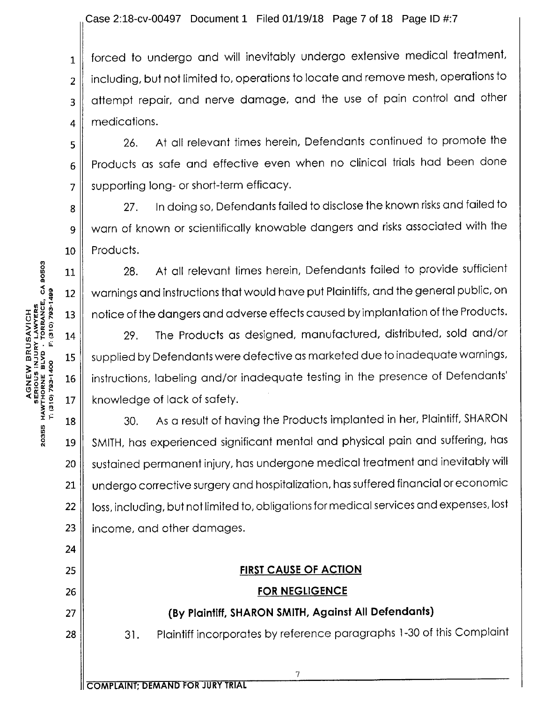Case 2:18-cv-00497 Document <sup>1</sup> Filed 01/19/18 Page 7 of 18 Page ID #:7

 $_1$  || forced to undergo and will inevitably undergo extensive medical treatment, 2 | including, but not limited to, operations to locate and remove mesh, operations to 3 || attempt repair, and nerve damage, and the use of pain control and other 4 || medications.

5 || 26. At all relevant times herein, Defendants continued to promote the  $6$  Products as safe and effective even when no clinical trials had been done  $7 \parallel$  supporting long- or short-term efficacy.

<sup>8</sup> 27. In doing so, Defendants failed to disclose the known risks and failed to 9 || warn of known or scientifically knowable dangers and risks associated with the  $10$  Products.

28. At all relevant times herein, Defendants failed to provide sufficient 12 || warnings and instructions that would have put Plaintiffs, and the general public, on 13 || notice of the dangers and adverse effects caused by implantation of the Products.

14 || 29. The Products as designed, manufactured, distributed, sold and/or 15  $\parallel$  supplied by Defendants were defective as marketed due to inadequate warnings, <sup>16</sup> instructions, labeling and/or inadequate testing in the presence of Defendants'  $17 \parallel$  knowledge of lack of safety.

 $18$   $\parallel$  30. As a result of having the Products implanted in her, Plaintiff, SHARON <sup>19</sup> SMITH, has experienced significant mental and physical pain and suffering, has 20 || sustained permanent injury, has undergone medical treatment and inevitably will 21 | undergo corrective surgery and hospitalization, has suffered financial or economic 22 | loss, including, but not limited to, obligations for medical services and expenses, lost  $23$  | income, and other damages.

### 25 FIRST CAUSE OF ACTION

### 26 FOR NEGLIGENCE

### 27 || (By Plaintiff, SHARON SMITH, Against All Defendants)

7

28 || 31. Plaintiff incorporates by reference paragraphs 1-30 of this Complaint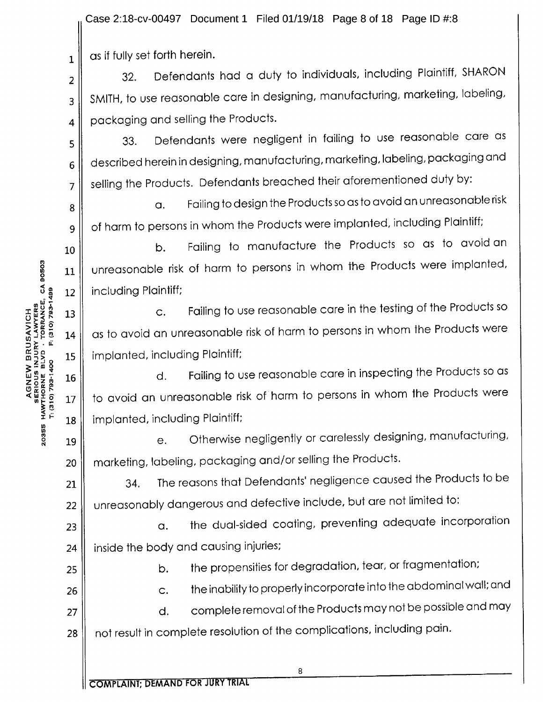Case 2:18-cv-00497 Document 1 Filed 01/19/18 Page 8 of 18 Page ID #:8

 $_1 \parallel$  as if fully set forth herein.

2

8

32. Defendants had <sup>a</sup> duty to individuals, including Plaintiff, SHARON  $_3$  | SMITH, to use reasonable care in designing, manufacturing, marketing, labeling,  $4 \parallel$  packaging and selling the Products.

5 33. Defendants were negligent in failing to use reasonable care as  $6 \parallel$  described herein in designing, manufacturing, marketing, labeling, packaging and  $7 \parallel$  selling the Products. Defendants breached their aforementioned duty by:

a. Failing to design the Products so as to avoid an unreasonable risk <sup>9</sup> of harm to persons in whom the Products were implanted, including Plaintiff;

10 **b.** Failing to manufacture the Products so as to avoid an  $11$  unreasonable risk of harm to persons in whom the Products were implanted,  $12$  | including Plaintiff;

 $\begin{array}{c} \texttt{13} \parallel \end{array}$  c. Failing to use reasonable care in the testing of the Products so  $14$   $\parallel$  as to avoid an unreasonable risk of harm to persons in whom the Products were 15 | implanted, including Plaintiff;

 $\begin{array}{ccc} 16 \end{array}$  d. Failing to use reasonable care in inspecting the Products so as  $17$  to avoid an unreasonable risk of harm to persons in whom the Products were 18 | implanted, including Plaintiff;

 $\begin{bmatrix} 9 & 10 \\ 19 & 19 \end{bmatrix}$  e. Otherwise negligently or carelessly designing, manufacturing, 20 || marketing, labeling, packaging and/or selling the Products.

21  $\parallel$  34. The reasons that Defendants' negligence caused the Products to be 22 | unreasonably dangerous and defective include, but are not limited to:

 $23$   $\parallel$  a. the dual-sided coating, preventing adequate incorporation  $24$  | inside the body and causing injuries;

25 || b. the propensities for degradation, tear, or fragmentation;

 $26$   $\parallel$  c. the inability to properly incorporate into the abdominal wall; and

27  $\parallel$  d. complete removal of the Products may not be possible and may 28 || not result in complete resolution of the complications, including pain.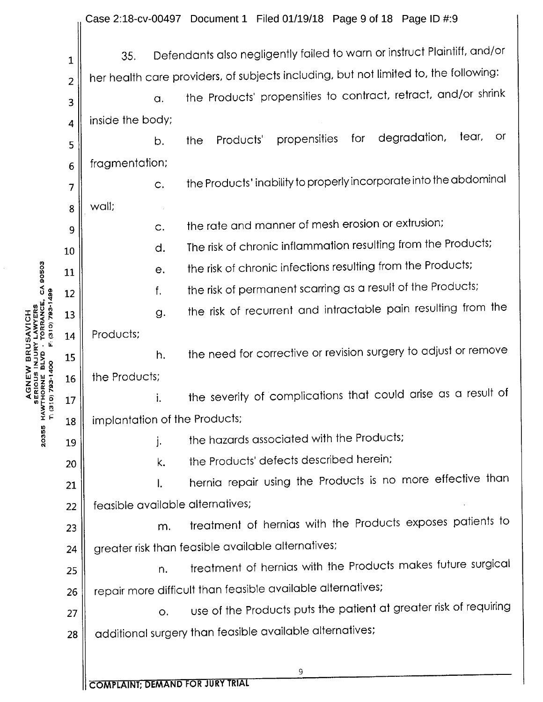|                                     |                |                                                                                      | Case 2:18-cv-00497 Document 1 Filed 01/19/18 Page 9 of 18 Page ID #:9    |  |  |  |  |
|-------------------------------------|----------------|--------------------------------------------------------------------------------------|--------------------------------------------------------------------------|--|--|--|--|
|                                     | 1              | 35.                                                                                  | Defendants also negligently failed to warn or instruct Plaintiff, and/or |  |  |  |  |
|                                     | $\overline{2}$ | her health care providers, of subjects including, but not limited to, the following: |                                                                          |  |  |  |  |
|                                     | 3              | a.                                                                                   | the Products' propensities to contract, retract, and/or shrink           |  |  |  |  |
|                                     | 4              | inside the body;                                                                     |                                                                          |  |  |  |  |
|                                     | 5              | b.                                                                                   | tear,<br>degradation,<br>or.<br>for<br>propensities<br>Products'<br>the  |  |  |  |  |
|                                     | 6              | fragmentation;                                                                       |                                                                          |  |  |  |  |
|                                     | 7              | C.                                                                                   | the Products' inability to properly incorporate into the abdominal       |  |  |  |  |
|                                     | 8              | wall;                                                                                |                                                                          |  |  |  |  |
|                                     | 9              | C.                                                                                   | the rate and manner of mesh erosion or extrusion;                        |  |  |  |  |
|                                     | 10             | d.                                                                                   | The risk of chronic inflammation resulting from the Products;            |  |  |  |  |
|                                     | 11             | е.                                                                                   | the risk of chronic infections resulting from the Products;              |  |  |  |  |
| CA 90503                            | 12             | f.                                                                                   | the risk of permanent scarring as a result of the Products;              |  |  |  |  |
| TORRANCE,                           | 13             | g.                                                                                   | the risk of recurrent and intractable pain resulting from the            |  |  |  |  |
| F: (310) 793-1499<br>$\overline{1}$ | 14             | Products;                                                                            |                                                                          |  |  |  |  |
|                                     | 15             | h.                                                                                   | the need for corrective or revision surgery to adjust or remove          |  |  |  |  |
| $\frac{8}{9}$                       | 16             | the Products;                                                                        |                                                                          |  |  |  |  |
| <b>HARNE</b><br>ERIOU               | 17             |                                                                                      | the severity of complications that could arise as a result of            |  |  |  |  |
| SE<br>HAWTH<br>T: (310)             | 18             | implantation of the Products;                                                        |                                                                          |  |  |  |  |
| 20355                               | 19             | j.                                                                                   | the hazards associated with the Products;                                |  |  |  |  |
|                                     | 20             | k.                                                                                   | the Products' defects described herein;                                  |  |  |  |  |
|                                     | 21             | I.                                                                                   | hernia repair using the Products is no more effective than               |  |  |  |  |
|                                     | 22             | feasible available alternatives;                                                     |                                                                          |  |  |  |  |
|                                     | 23             | m.                                                                                   | treatment of hernias with the Products exposes patients to               |  |  |  |  |
|                                     | 24             |                                                                                      | greater risk than feasible available alternatives;                       |  |  |  |  |
|                                     | 25             | n.                                                                                   | treatment of hernias with the Products makes future surgical             |  |  |  |  |
|                                     | 26             |                                                                                      | repair more difficult than feasible available alternatives;              |  |  |  |  |
|                                     | 27             | О.                                                                                   | use of the Products puts the patient at greater risk of requiring        |  |  |  |  |
|                                     | 28             |                                                                                      | additional surgery than feasible available alternatives;                 |  |  |  |  |
|                                     |                |                                                                                      |                                                                          |  |  |  |  |
|                                     |                |                                                                                      | 9                                                                        |  |  |  |  |

**COMPLAINT; DEMAND FOR JURY TRIAL**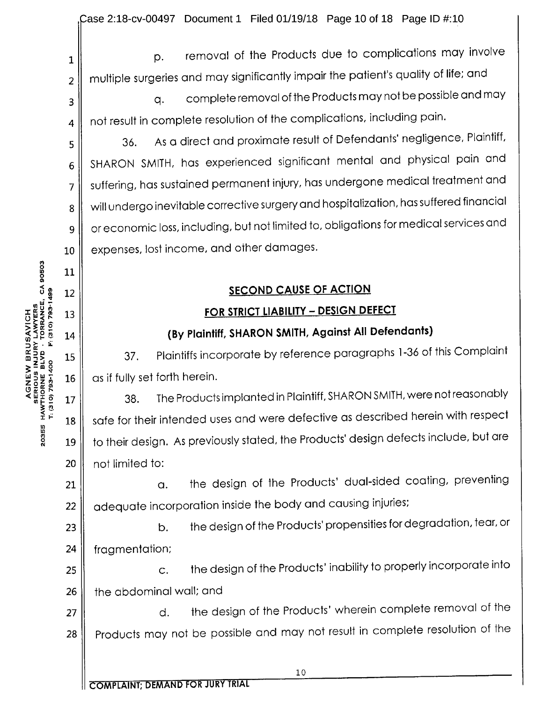$_1$  || p. removal of the Products due to complications may involve  $_2$   $\parallel$  multiple surgeries and may significantly impair the patient's quality of life; and

 $_3$   $\parallel$  and may complete removal of the Products may not be possible and may  $_4$   $\parallel$  not result in complete resolution of the complications, including pain.

1  $\frac{1}{5}$  36. As a direct and proximate result of Defendants' negligence, Plaintiff,  $6$  SHARON SMITH, has experienced significant mental and physical pain and 7 || suffering, has sustained permanent injury, has undergone medical treatment and 8 | will undergo inevitable corrective surgery and hospitalization, has suffered financial or economic loss, including, but not limited to, obligations for medical services and 10 || expenses, lost income, and other damages.

# 12 SECOND CAUSE OF ACTION

# 13 || **FOR STRICT LIABILITY – DESIGN DEFECT**

# 14 || (By Plaintiff, SHARON SMITH, Against All Defendants)

COR SIRICT LIABILITY - DESIGN DEFECT<br>
STRIPS 13<br>  $\frac{1}{2}$ <br>  $\frac{1}{2}$ <br>  $\frac{1}{2}$ <br>  $\frac{1}{2}$ <br>  $\frac{1}{2}$ <br>  $\frac{1}{2}$ <br>  $\frac{1}{2}$ <br>  $\frac{1}{2}$ <br>  $\frac{1}{2}$ <br>  $\frac{1}{2}$ <br>  $\frac{1}{2}$ <br>  $\frac{1}{2}$ <br>  $\frac{1}{2}$ <br>  $\frac{1}{2}$ <br>  $\frac{1}{2}$ <br>  $\frac{1}{2$  $16 \parallel$  as if fully set forth herein.

1 17  $\parallel$  38. The Products implanted in Plaintiff, SHARON SMITH, were not reasonably  $18 \parallel$  safe for their intended uses and were defective as described herein with respect 19  $\parallel$  to their design. As previously stated, the Products' design defects include, but are 20 || not limited to:

 $21$   $\parallel$  a. the design of the Products' dual-sided coating, preventing  $22 \parallel$  adequate incorporation inside the body and causing injuries;

23 **b.** the design of the Products' propensities for degradation, tear, or 24 fragmentation;

25 **c.** the design of the Products' inability to properly incorporate into 26 || the abdominal wall; and

27  $\parallel$  d. the design of the Products' wherein complete removal of the 28 | Products may not be possible and may not result in complete resolution of the

ft) 0

COMPLAINT; DEMAND FOR JURY TRIAL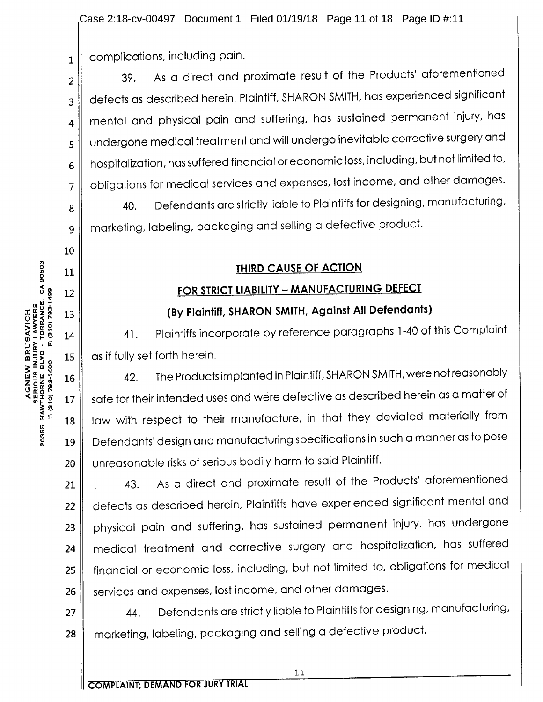Case 2:18-cv-00497 Document <sup>1</sup> Filed 01/19/18 Page 11 of 18 Page ID #:11

 $_1 \parallel$  complications, including pain.

 $2 \parallel$  39. As a direct and proximate result of the Products' aforementioned 3 || defects as described herein, Plaintiff, SHARON SMITH, has experienced significant  $_4 \parallel$  mental and physical pain and suffering, has sustained permanent injury, has 5 || undergone medical treatment and will undergo inevitable corrective surgery and  $6 \parallel$  hospitalization, has suffered financial or economic loss, including, but not limited to,  $7 \parallel$  obligations for medical services and expenses, lost income, and other damages.  $8$   $\parallel$  40. Defendants are strictly liable to Plaintiffs for designing, manufacturing, <sup>9</sup> marketing, labeling, packaging and selling <sup>a</sup> defective product.

# 11 || THIRD CAUSE OF ACTION

# 12 || FOR STRICT LIABILITY – MANUFACTURING DEFECT

 $\begin{bmatrix} 2 & 12 \ \frac{1}{2} & 13 \ \frac{2}{2} & 14 \end{bmatrix}$  (By Plaintiff, SHARON SMITH, Against All Defendants)<br>  $\begin{bmatrix} 2 & 14 \ \frac{1}{2} & 14 \end{bmatrix}$  41. Plaintiffs incorporate by reference paragraphs 1-40 of 14 || 41. Plaintiffs incorporate by reference paragraphs 1-40 of this Complaint  $15$   $\parallel$  as if fully set forth herein.

 $\begin{bmatrix} 3 & -2 \ 3 & 16 \ \frac{1}{2} & 17 \ \frac{1}{2} & 18 \ \frac{1}{2} & 18 \ \frac{1}{2} & 18 \ \frac{1}{2} & 18 \ \frac{1}{2} & 19 \ \frac{1}{2} & 19 \ \frac{1}{2} & 19 \ \frac{1}{2} & 19 \ \frac{1}{2} & 19 \ \frac{1}{2} & 19 \ \frac{1}{2} & 19 \ \frac{1}{2} & 19 \ \frac{1}{2} & 19 \ \frac{1}{2} & 19 \ \frac{1}{2} & 19 \ \frac{1}{2} &$  $27 \parallel$  safe for their intended uses and were defective as described herein as a matter of 18 | law with respect to their manufacture, in that they deviated materially from <sup>19</sup> Defendants' design and manufacturing specifications in such <sup>a</sup> manner as to pose 20 || unreasonable risks of serious bodily harm to said Plaintiff.

21 || 43. As a direct and proximate result of the Products' aforementioned 22 | defects as described herein, Plaintiffs have experienced significant mental and 23 | physical pain and suffering, has sustained permanent injury, has undergone <sup>24</sup> medical treatment and corrective surgery and hospitalization, has suffered 25 | financial or economic loss, including, but not limited to, obligations for medical 26 | services and expenses, lost income, and other damages.

27  $\parallel$  44. Defendants are strictly liable to Plaintiffs for designing, manufacturing, 28 | marketing, labeling, packaging and selling a defective product.

0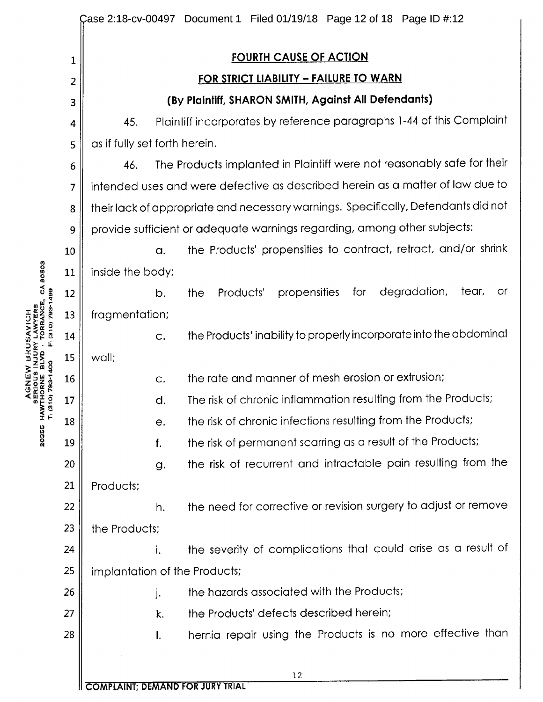|                                                       |                |                                                                                    | Case 2:18-cv-00497 Document 1 Filed 01/19/18 Page 12 of 18 Page ID #:12 |  |  |  |
|-------------------------------------------------------|----------------|------------------------------------------------------------------------------------|-------------------------------------------------------------------------|--|--|--|
|                                                       | 1              | <b>FOURTH CAUSE OF ACTION</b>                                                      |                                                                         |  |  |  |
|                                                       | 2              | FOR STRICT LIABILITY - FAILURE TO WARN                                             |                                                                         |  |  |  |
|                                                       | 3              | (By Plaintiff, SHARON SMITH, Against All Defendants)                               |                                                                         |  |  |  |
|                                                       | 4              | Plaintiff incorporates by reference paragraphs 1-44 of this Complaint<br>45.       |                                                                         |  |  |  |
|                                                       | 5              | as if fully set forth herein.                                                      |                                                                         |  |  |  |
|                                                       | 6              | The Products implanted in Plaintiff were not reasonably safe for their<br>46.      |                                                                         |  |  |  |
|                                                       | $\overline{7}$ | intended uses and were defective as described herein as a matter of law due to     |                                                                         |  |  |  |
|                                                       | 8              | their lack of appropriate and necessary warnings. Specifically, Defendants did not |                                                                         |  |  |  |
|                                                       | 9              | provide sufficient or adequate warnings regarding, among other subjects:           |                                                                         |  |  |  |
| CA 90503<br><b>6671-562 (018)</b><br><b>TORRANCE,</b> | 10             | a.                                                                                 | the Products' propensities to contract, retract, and/or shrink          |  |  |  |
|                                                       | 11             | inside the body;                                                                   |                                                                         |  |  |  |
|                                                       | 12             | b.                                                                                 | degradation,<br>for<br>tear,<br>Products'<br>propensities<br>or<br>the  |  |  |  |
|                                                       | 13             | fragmentation;                                                                     |                                                                         |  |  |  |
|                                                       | 14             | C.                                                                                 | the Products' inability to properly incorporate into the abdominal      |  |  |  |
|                                                       | 15             | wall;                                                                              |                                                                         |  |  |  |
|                                                       | 16             | C.                                                                                 | the rate and manner of mesh erosion or extrusion;                       |  |  |  |
|                                                       | 17             | d.                                                                                 | The risk of chronic inflammation resulting from the Products;           |  |  |  |
| Z<br>I⊢                                               | 18             | е.                                                                                 | the risk of chronic infections resulting from the Products;             |  |  |  |
| 20355                                                 | 19             | f.                                                                                 | the risk of permanent scarring as a result of the Products;             |  |  |  |
|                                                       | 20             | g.                                                                                 | the risk of recurrent and intractable pain resulting from the           |  |  |  |
|                                                       | 21             | Products;                                                                          |                                                                         |  |  |  |
|                                                       | 22             | h.                                                                                 | the need for corrective or revision surgery to adjust or remove         |  |  |  |
|                                                       | 23             | the Products;                                                                      |                                                                         |  |  |  |
|                                                       | 24             | i.                                                                                 | the severity of complications that could arise as a result of           |  |  |  |
|                                                       | 25             | implantation of the Products;                                                      |                                                                         |  |  |  |
|                                                       | 26             | j.                                                                                 | the hazards associated with the Products;                               |  |  |  |
|                                                       | 27             | k.                                                                                 | the Products' defects described herein;                                 |  |  |  |
|                                                       | 28             | Ι.                                                                                 | hernia repair using the Products is no more effective than              |  |  |  |
|                                                       |                |                                                                                    | 12                                                                      |  |  |  |
|                                                       |                |                                                                                    |                                                                         |  |  |  |

u<br>a<br>a<br>a<br>a n a n<br>Pa n ∡ **ZON<br>SRIORN<br>DRN<br>CORN**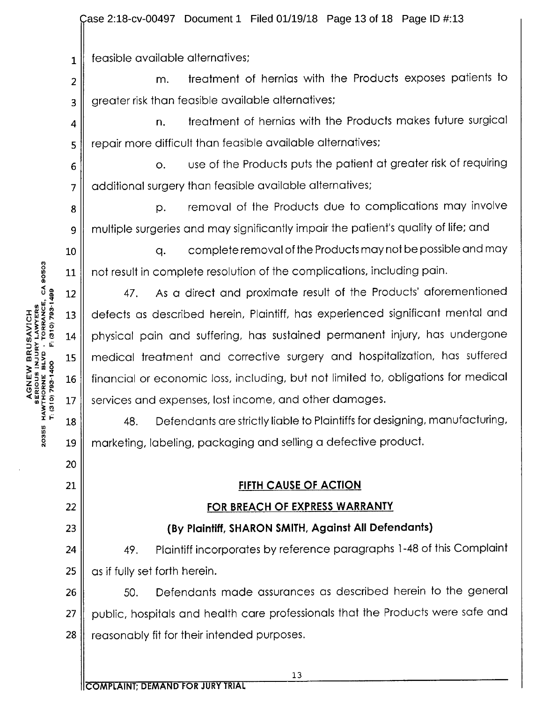2:18-cv-00497 Document 1 Filed 01/19/18 Page 13 of 18 Page ID #:13

 $_1$  | feasible available alternatives;

 $2 \parallel$  m. treatment of hernias with the Products exposes patients to 3 || greater risk than feasible available alternatives;

 $\parallel$  all **n.** treatment of hernias with the Products makes future surgical 5 | repair more difficult than feasible available alternatives;

<sup>6</sup> o. use of the Products puts the patient at greater risk of requiring 7 || additional surgery than feasible available alternatives;

8 || P. removal of the Products due to complications may involve <sup>9</sup> multiple surgeries and may significantly impair the patient's quality of life; and

 $10$   $\parallel$  q. complete removal of the Products may not be possible and may 11 || not result in complete resolution of the complications, including pain.

12 || 47. As a direct and proximate result of the Products' aforementioned 13 || defects as described herein, Plaintiff, has experienced significant mental and 14 physical pain and suffering, has sustained permanent injury, has undergone <sup>15</sup> medical treatment and corrective surgery and hospitalization, has suffered 16 || financial or economic loss, including, but not limited to, obligations for medical 17 services and expenses, lost income, and other damages.

<sup>18</sup> 48. Defendants are strictly liable to Plaintiffs for designing, manufacturing, example.<br>2 19 marketing, labeling, packaging and selling a defective product.

### 21 FIFTH CAUSE OF ACTION

### 22 FOR BREACH OF EXPRESS WARRANTY

### 23 || (By Plaintiff, SHARON SMITH, Against All Defendants)

24 || 49. Plaintiff incorporates by reference paragraphs 1-48 of this Complaint  $25$  | as if fully set forth herein.

26 || 50. Defendants made assurances as described herein to the general 27 || public, hospitals and health care professionals that the Products were safe and  $28$   $\parallel$  reasonably fit for their intended purposes.

20

 $\ddot{\mathbf{0}}$ 

COMPLAINT; DEMAND FOR JURY TRIAL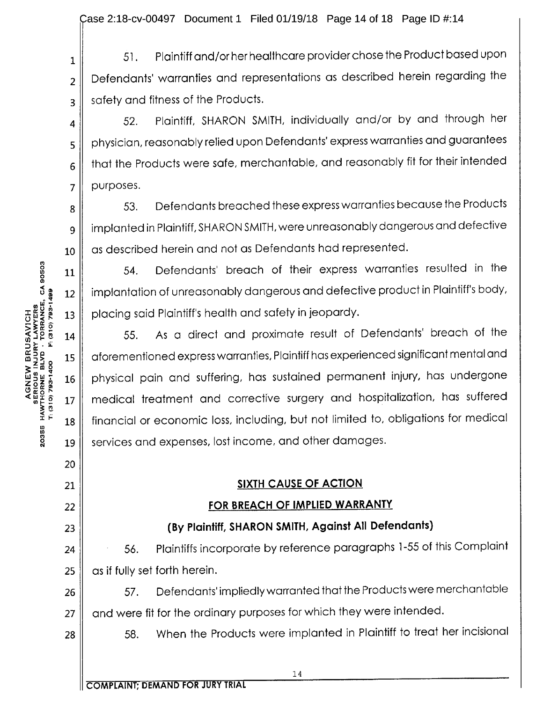1 51. Plaintiff and/or her healthcare provider chose the Product based upon  $2 \parallel$  Defendants' warranties and representations as described herein regarding the  $3 \parallel$  safety and fitness of the Products.

4 | 52. Plaintiff, SHARON SMITH, individually and/or by and through her  $_5$  | physician, reasonably relied upon Defendants' express warranties and guarantees that the Products were safe, merchantable, and reasonably fit for their intended  $7$  | purposes.

8 || 53. Defendants breached these express warranties because the Products <sup>9</sup> implanted in Plaintiff, SHARON SMITH, were unreasonably dangerous and defective 10 || as described herein and not as Defendants had represented.

 $11$   $\parallel$  54. Defendants' breach of their express warranties resulted in the  $_{12}$   $\parallel$  implantation of unreasonably dangerous and defective product in Plaintiff's body,

gives a transition of the said Plaintiff's health and safety in jeopardy.<br>
See 5<br>
14.th safety in 14.th same said Plaintiff's health and safety in jeopardy.<br>
14.th safety in 15.th same same same same same safety in the sam 14 || 55. As a direct and proximate result of Defendants' breach of the  $\begin{array}{ll}\n\texttt{5.3g}\n\texttt{2.4g}\n\texttt{3.5g}\n\texttt{4.5g}\n\texttt{5.6g}\n\texttt{5.7h}\n\texttt{6.7h}\n\texttt{7.7h}\n\texttt{8.8g}\n\texttt{9.7h}\n\texttt{10.7h}\n\texttt{11.7h}\n\texttt{12.7h}\n\texttt{13.7h}\n\texttt{14.7h}\n\texttt{15.7h}\n\texttt{16.7h}\n\texttt{17.7h}\n\texttt{17.7h}\n\texttt{18.7h}\n\texttt$ 16 physical pain and suffering, has sustained permanent injury, has undergone 17 || medical treatment and corrective surgery and hospitalization, has suffered 18 | financial or economic loss, including, but not limited to, obligations for medical 19 || services and expenses, lost income, and other damages.

### 21 SIXTH CAUSE OF ACTION

### 22 || **FOR BREACH OF IMPLIED WARRANTY**

## 23 || (By Plaintiff, SHARON SMITH, Against All Defendants)

24 | 56. Plaintiffs incorporate by reference paragraphs 1-55 of this Complaint  $25$  | as if fully set forth herein.

26 || 57. Defendants' impliedly warranted that the Products were merchantable 27 || and were fit for the ordinary purposes for which they were intended.

28 || 58. When the Products were implanted in Plaintiff to treat her incisional

6

O  $\ddot{\mathbf{0}}$ 

w

0 7

 $\ddot{\phantom{1}}$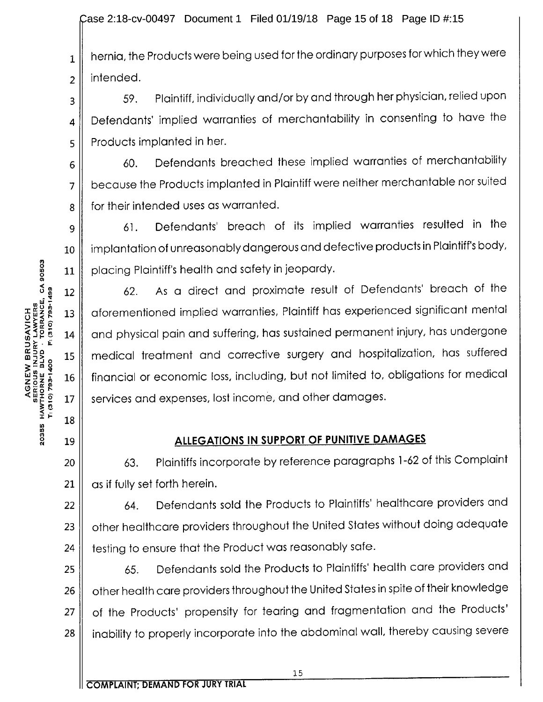Case 2:18-cv-00497 Document 1 Filed 01/19/18 Page 15 of 18 Page ID #:15

 $_1$  | hernia, the Products were being used for the ordinary purposes for which they were  $2 \parallel$  intended.

 $3 \parallel$  59. Plaintiff, individually and/or by and through her physician, relied upon 4 | Defendants' implied warranties of merchantability in consenting to have the  $\mathbf{5}$  | Products implanted in her.

 $6$  60. Defendants breached these implied warranties of merchantability 7 || because the Products implanted in Plaintiff were neither merchantable nor suited 8 for their intended uses as warranted.

9 61. Defendants' breach of its implied warranties resulted in the 10 | implantation of unreasonably dangerous and defective products in Plaintiff's body, 11 | placing Plaintiff's health and safety in jeopardy.

62. As <sup>a</sup> direct and proximate result of Defendants' breach of the 13 | aforementioned implied warranties, Plaintiff has experienced significant mental 14 and physical pain and suffering, has sustained permanent injury, has undergone 15 | medical treatment and corrective surgery and hospitalization, has suffered 16 | financial or economic loss, including, but not limited to, obligations for medical 17 || services and expenses, lost income, and other damages.

### 19 || ALLEGATIONS IN SUPPORT OF PUNITIVE DAMAGES

20 || 63. Plaintiffs incorporate by reference paragraphs 1-62 of this Complaint  $21 \parallel$  as if fully set forth herein.

22 || 64. Defendants sold the Products to Plaintiffs' healthcare providers and 23 | other healthcare providers throughout the United States without doing adequate  $24$   $\parallel$  testing to ensure that the Product was reasonably safe.

25  $\parallel$  65. Defendants sold the Products to Plaintiffs' health care providers and 26 | other health care providers throughout the United States in spite of their knowledge 27 | of the Products' propensity for tearing and fragmentation and the Products' 28 || inability to properly incorporate into the abdominal wall, thereby causing severe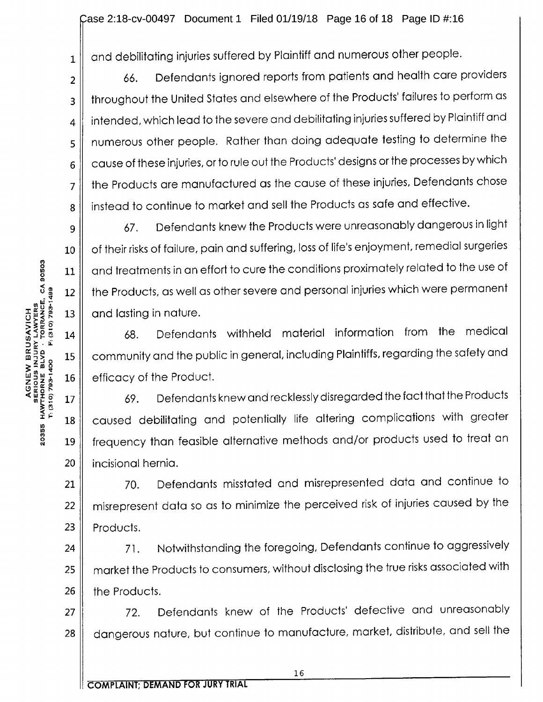ease 2:18-cv-00497 Document 1 Filed 01/19/18 Page 16 of 18 Page ID #:16

 $_1$  | and debilitating injuries suffered by Plaintiff and numerous other people.

 $2 \parallel$  66. Defendants ignored reports from patients and health care providers 3 || throughout the United States and elsewhere of the Products' failures to perform as  $4 \parallel$  intended, which lead to the severe and debilitating injuries suffered by Plaintiff and 5 || numerous other people. Rather than doing adequate testing to determine the  $6 \parallel$  cause of these injuries, or to rule out the Products' designs or the processes by which 7 | the Products are manufactured as the cause of these injuries, Defendants chose 8 | instead to continue to market and sell the Products as safe and effective.

II 9 || 67. Defendants knew the Products were unreasonably dangerous in light 10 | of their risks of failure, pain and suffering, loss of life's enjoyment, remedial surgeries  $11$   $\parallel$  and treatments in an effort to cure the conditions proximately related to the use of 12 | the Products, as well as other severe and personal injuries which were permanent 13  $\parallel$  and lasting in nature.

14 || 68. Defendants withheld material information from the medical 15 | community and the public in general, including Plaintiffs, regarding the safety and 16 || efficacy of the Product.

17  $\parallel$  69. Defendants knew and recklessly disregarded the fact that the Products 18 | caused debilitating and potentially life altering complications with greater 19 || frequency than feasible alternative methods and/or products used to treat an 20 | incisional hernia.

II 21 || 70. Defendants misstated and misrepresented data and continue to 22 || misrepresent data so as to minimize the perceived risk of injuries caused by the  $23$  | Products.

24 || 71. Notwithstanding the foregoing, Defendants continue to aggressively 25 || market the Products to consumers, without disclosing the true risks associated with  $26$  | the Products.

 $27$   $\parallel$  72. Defendants knew of the Products' defective and unreasonably 28 | dangerous nature, but continue to manufacture, market, distribute, and sell the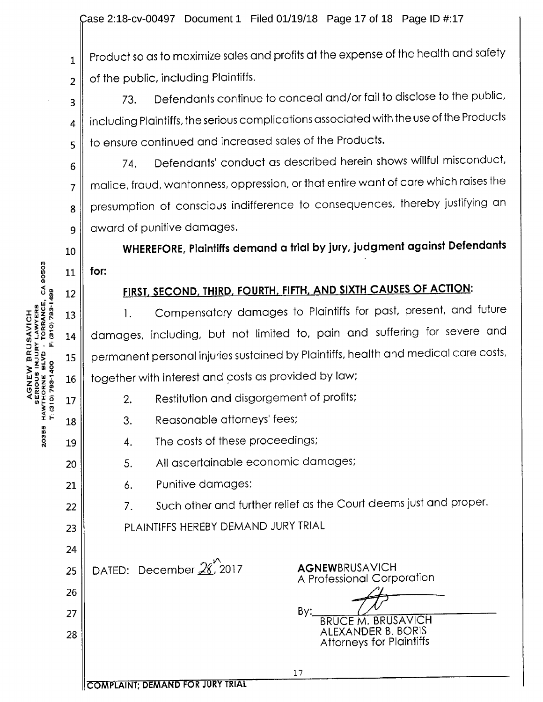$\parallel$  $_1 \parallel$  Product so as to maximize sales and profits at the expense of the health and safety of the public, including Plaintiffs.

73. Defendants continue to conceal and/or fail to disclose to the public,  $_4$   $\parallel$  including Plaintiffs, the serious complications associated with the use of the Products  $_5$  | to ensure continued and increased sales of the Products.

 $6 \parallel$  74. Defendants' conduct as described herein shows willful misconduct,  $7 \parallel$  malice, fraud, wantonness, oppression, or that entire want of care which raises the 8 | presumption of conscious indifference to consequences, thereby justifying an 9 award of punitive damages.

I!  $_{10}\parallel$  WHEREFORE, Plaintiffs demand a trial by jury, judgment against Defendants

# 12 || FIRST, SECOND, THIRD, FOURTH, FIFTH, AND SIXTH CAUSES OF ACTION:

 $x_1$  1. Compensatory damages to Plaintiffs for past, present, and future 14 | damages, including, but not limited to, pain and suffering for severe and 15 | permanent personal injuries sustained by Plaintiffs, health and medical care costs,  $16$   $\parallel$  together with interest and costs as provided by law;

- 17 || 2. Restitution and disgorgement of profits;
- 18 || 3. Reasonable attorneys' fees;
- 19  $\parallel$  4. The costs of these proceedings;
- 20 || 5. All ascertainable economic damages;
- 21 | 6. Punitive damages;

 $22$   $\parallel$   $\qquad$  7. Such other and further relief as the Court deems just and proper.

17

23 || PLAINTIFFS HEREBY DEMAND JURY TRIAL

25 DATED: December  $26$ , 2017 **AGNEW**BRUSAVICH

A Professional Corporation 27  $\parallel$  by:

BRUCE M. BRUSAVICH <sup>28</sup> ALEXANDER B. BORIS Attorneys for Plaintiffs

COMPLAINT; DEMAND FOR JURY TRIAL

 $\begin{array}{cc} 0 & 11 \end{array}$  for: w Ej ne<br>Zee<br>De zig 20355

2

3

II

24